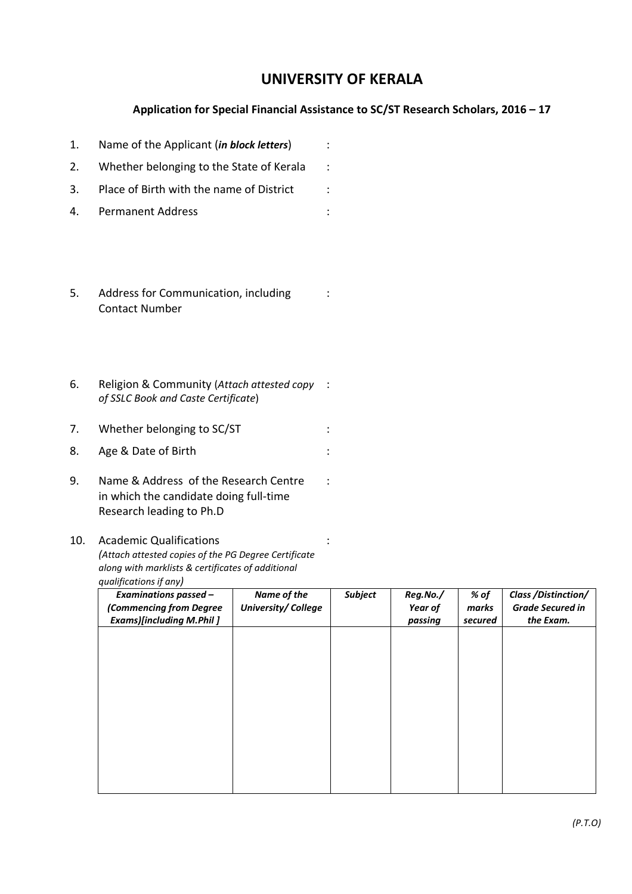## UNIVERSITY OF KERALA

## Application for Special Financial Assistance to SC/ST Research Scholars, 2016 – 17

| 1. | Name of the Applicant ( <i>in block letters</i> )             |  |
|----|---------------------------------------------------------------|--|
| 2. | Whether belonging to the State of Kerala                      |  |
| 3. | Place of Birth with the name of District                      |  |
| 4. | Permanent Address                                             |  |
| 5. | Address for Communication, including<br><b>Contact Number</b> |  |

6. Religion & Community (Attach attested copy : of SSLC Book and Caste Certificate)

7. Whether belonging to SC/ST :

- 8. Age & Date of Birth : the state of  $\mathsf{Birth}$
- 9. Name & Address of the Research Centre in which the candidate doing full-time Research leading to Ph.D

## 10. Academic Qualifications

(Attach attested copies of the PG Degree Certificate along with marklists & certificates of additional qualifications if any)

| <b>Examinations passed -</b><br>(Commencing from Degree<br><b>Exams)[including M.Phil]</b> | Name of the<br>University/College | <b>Subject</b> | Reg.No./<br>Year of<br>passing | % of<br>marks<br>secured | Class / Distinction/<br><b>Grade Secured in</b><br>the Exam. |
|--------------------------------------------------------------------------------------------|-----------------------------------|----------------|--------------------------------|--------------------------|--------------------------------------------------------------|
|                                                                                            |                                   |                |                                |                          |                                                              |
|                                                                                            |                                   |                |                                |                          |                                                              |
|                                                                                            |                                   |                |                                |                          |                                                              |
|                                                                                            |                                   |                |                                |                          |                                                              |
|                                                                                            |                                   |                |                                |                          |                                                              |
|                                                                                            |                                   |                |                                |                          |                                                              |

:

: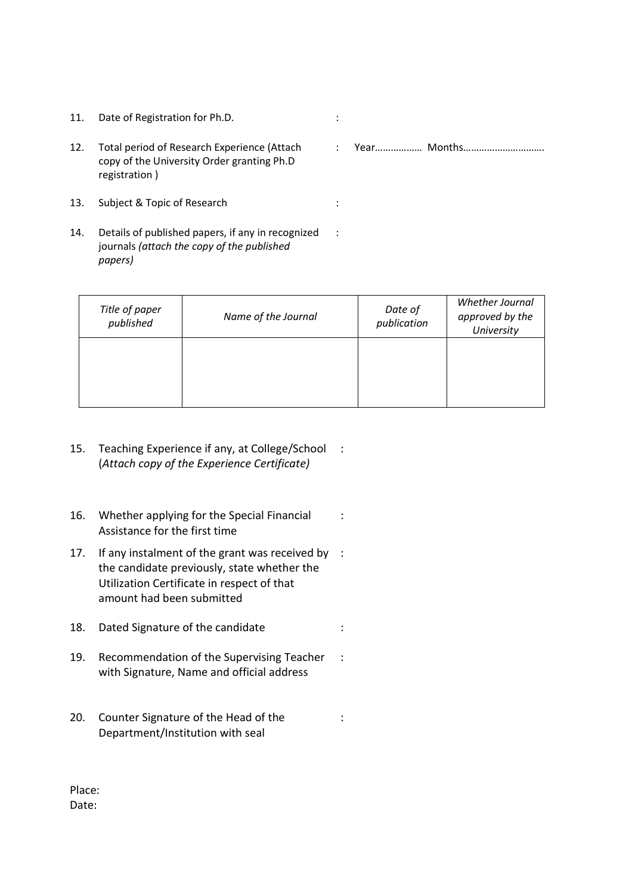- 11. Date of Registration for Ph.D. **11. In the State of Registration** for Ph.D.
- 12. Total period of Research Experience (Attach copy of the University Order granting Ph.D registration )
- 13. Subject & Topic of Research :
- 14. Details of published papers, if any in recognized journals (attach the copy of the published papers)
- : Year……………… Months………………………….

| Title of paper<br>published | Name of the Journal | Date of<br>publication | Whether Journal<br>approved by the<br>University |
|-----------------------------|---------------------|------------------------|--------------------------------------------------|
|                             |                     |                        |                                                  |

:

- 15. Teaching Experience if any, at College/School : (Attach copy of the Experience Certificate)
- 16. Whether applying for the Special Financial Assistance for the first time :
- 17. If any instalment of the grant was received by : the candidate previously, state whether the Utilization Certificate in respect of that amount had been submitted
- 18. Dated Signature of the candidate :
- 19. Recommendation of the Supervising Teacher with Signature, Name and official address :
- 20. Counter Signature of the Head of the Department/Institution with seal :

Place: Date: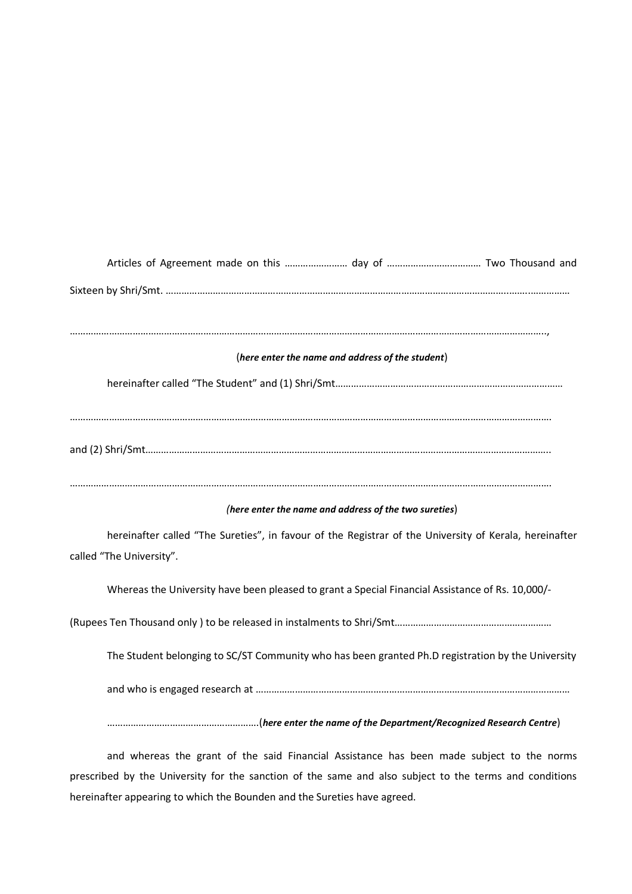## Articles of Agreement made on this …………………… day of ……………………………… Two Thousand and Sixteen by Shri/Smt. …………………………………………………………………………………………………………………..……..…………… ……………………………………………………………………………………………………………………………………………………………….., (here enter the name and address of the student) hereinafter called "The Student" and (1) Shri/Smt…………………………………………………………………………… …………………………………………………………………………………………………………………………………………………………………. and (2) Shri/Smt……………………………………………………………………………………………………………………………………….. …………………………………………………………………………………………………………………………………………………………………. (here enter the name and address of the two sureties) hereinafter called "The Sureties", in favour of the Registrar of the University of Kerala, hereinafter called "The University". Whereas the University have been pleased to grant a Special Financial Assistance of Rs. 10,000/- (Rupees Ten Thousand only ) to be released in instalments to Shri/Smt…………………………………………………… The Student belonging to SC/ST Community who has been granted Ph.D registration by the University and who is engaged research at ………………………………………………………………………………………………………… ………………………………………………….(here enter the name of the Department/Recognized Research Centre)

and whereas the grant of the said Financial Assistance has been made subject to the norms prescribed by the University for the sanction of the same and also subject to the terms and conditions hereinafter appearing to which the Bounden and the Sureties have agreed.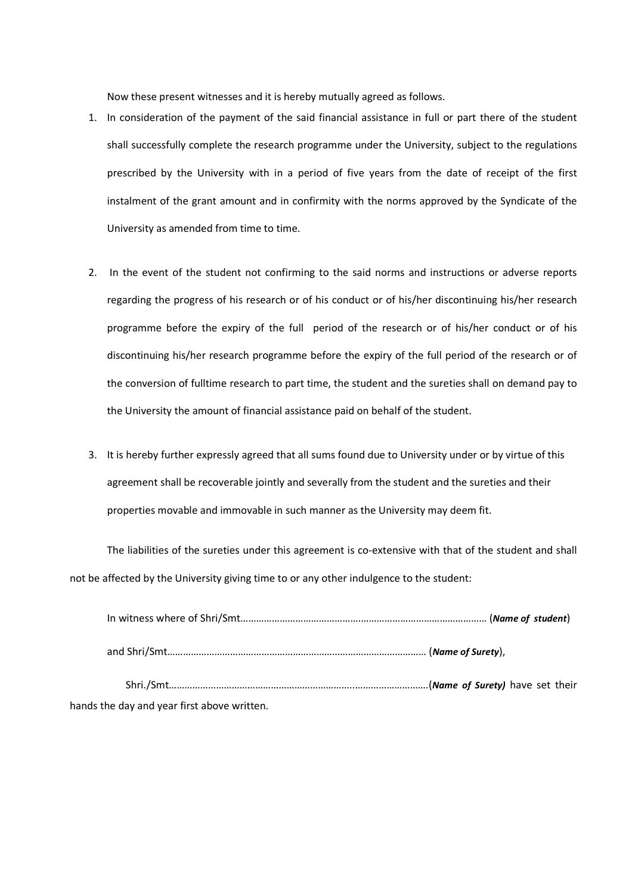Now these present witnesses and it is hereby mutually agreed as follows.

- 1. In consideration of the payment of the said financial assistance in full or part there of the student shall successfully complete the research programme under the University, subject to the regulations prescribed by the University with in a period of five years from the date of receipt of the first instalment of the grant amount and in confirmity with the norms approved by the Syndicate of the University as amended from time to time.
- 2. In the event of the student not confirming to the said norms and instructions or adverse reports regarding the progress of his research or of his conduct or of his/her discontinuing his/her research programme before the expiry of the full period of the research or of his/her conduct or of his discontinuing his/her research programme before the expiry of the full period of the research or of the conversion of fulltime research to part time, the student and the sureties shall on demand pay to the University the amount of financial assistance paid on behalf of the student.
- 3. It is hereby further expressly agreed that all sums found due to University under or by virtue of this agreement shall be recoverable jointly and severally from the student and the sureties and their properties movable and immovable in such manner as the University may deem fit.

The liabilities of the sureties under this agreement is co-extensive with that of the student and shall not be affected by the University giving time to or any other indulgence to the student:

| hands the day and year first above written. |  |
|---------------------------------------------|--|